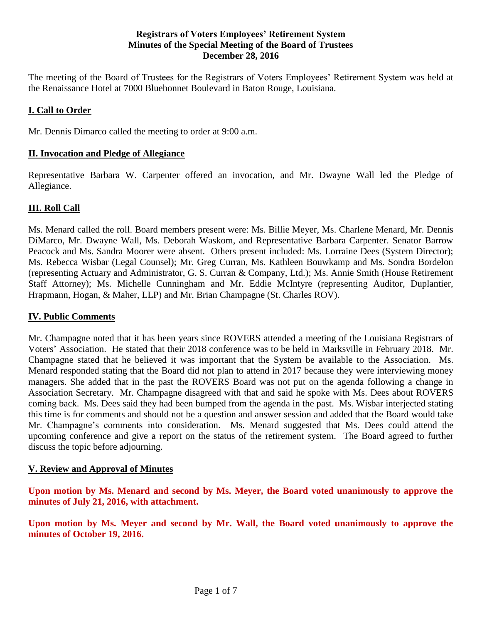#### **Registrars of Voters Employees' Retirement System Minutes of the Special Meeting of the Board of Trustees December 28, 2016**

The meeting of the Board of Trustees for the Registrars of Voters Employees' Retirement System was held at the Renaissance Hotel at 7000 Bluebonnet Boulevard in Baton Rouge, Louisiana.

## **I. Call to Order**

Mr. Dennis Dimarco called the meeting to order at 9:00 a.m.

#### **II. Invocation and Pledge of Allegiance**

Representative Barbara W. Carpenter offered an invocation, and Mr. Dwayne Wall led the Pledge of Allegiance.

### **III. Roll Call**

Ms. Menard called the roll. Board members present were: Ms. Billie Meyer, Ms. Charlene Menard, Mr. Dennis DiMarco, Mr. Dwayne Wall, Ms. Deborah Waskom, and Representative Barbara Carpenter. Senator Barrow Peacock and Ms. Sandra Moorer were absent. Others present included: Ms. Lorraine Dees (System Director); Ms. Rebecca Wisbar (Legal Counsel); Mr. Greg Curran, Ms. Kathleen Bouwkamp and Ms. Sondra Bordelon (representing Actuary and Administrator, G. S. Curran & Company, Ltd.); Ms. Annie Smith (House Retirement Staff Attorney); Ms. Michelle Cunningham and Mr. Eddie McIntyre (representing Auditor, Duplantier, Hrapmann, Hogan, & Maher, LLP) and Mr. Brian Champagne (St. Charles ROV).

#### **IV. Public Comments**

Mr. Champagne noted that it has been years since ROVERS attended a meeting of the Louisiana Registrars of Voters' Association. He stated that their 2018 conference was to be held in Marksville in February 2018. Mr. Champagne stated that he believed it was important that the System be available to the Association. Ms. Menard responded stating that the Board did not plan to attend in 2017 because they were interviewing money managers. She added that in the past the ROVERS Board was not put on the agenda following a change in Association Secretary. Mr. Champagne disagreed with that and said he spoke with Ms. Dees about ROVERS coming back. Ms. Dees said they had been bumped from the agenda in the past. Ms. Wisbar interjected stating this time is for comments and should not be a question and answer session and added that the Board would take Mr. Champagne's comments into consideration. Ms. Menard suggested that Ms. Dees could attend the upcoming conference and give a report on the status of the retirement system. The Board agreed to further discuss the topic before adjourning.

#### **V. Review and Approval of Minutes**

**Upon motion by Ms. Menard and second by Ms. Meyer, the Board voted unanimously to approve the minutes of July 21, 2016, with attachment.**

**Upon motion by Ms. Meyer and second by Mr. Wall, the Board voted unanimously to approve the minutes of October 19, 2016.**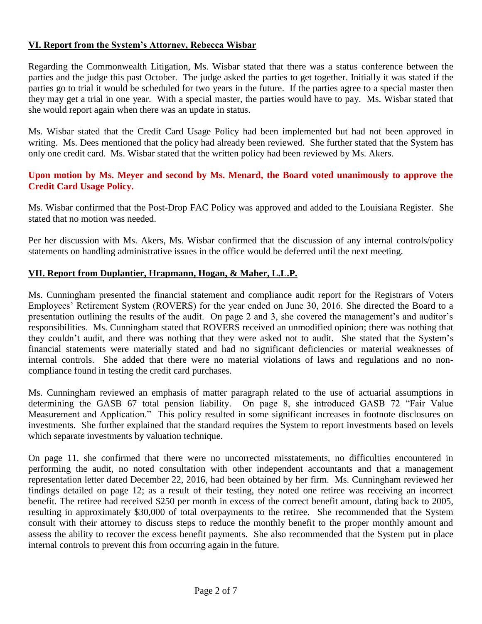### **VI. Report from the System's Attorney, Rebecca Wisbar**

Regarding the Commonwealth Litigation, Ms. Wisbar stated that there was a status conference between the parties and the judge this past October. The judge asked the parties to get together. Initially it was stated if the parties go to trial it would be scheduled for two years in the future. If the parties agree to a special master then they may get a trial in one year. With a special master, the parties would have to pay. Ms. Wisbar stated that she would report again when there was an update in status.

Ms. Wisbar stated that the Credit Card Usage Policy had been implemented but had not been approved in writing. Ms. Dees mentioned that the policy had already been reviewed. She further stated that the System has only one credit card. Ms. Wisbar stated that the written policy had been reviewed by Ms. Akers.

#### **Upon motion by Ms. Meyer and second by Ms. Menard, the Board voted unanimously to approve the Credit Card Usage Policy.**

Ms. Wisbar confirmed that the Post-Drop FAC Policy was approved and added to the Louisiana Register. She stated that no motion was needed.

Per her discussion with Ms. Akers, Ms. Wisbar confirmed that the discussion of any internal controls/policy statements on handling administrative issues in the office would be deferred until the next meeting.

## **VII. Report from Duplantier, Hrapmann, Hogan, & Maher, L.L.P.**

Ms. Cunningham presented the financial statement and compliance audit report for the Registrars of Voters Employees' Retirement System (ROVERS) for the year ended on June 30, 2016. She directed the Board to a presentation outlining the results of the audit. On page 2 and 3, she covered the management's and auditor's responsibilities. Ms. Cunningham stated that ROVERS received an unmodified opinion; there was nothing that they couldn't audit, and there was nothing that they were asked not to audit. She stated that the System's financial statements were materially stated and had no significant deficiencies or material weaknesses of internal controls. She added that there were no material violations of laws and regulations and no noncompliance found in testing the credit card purchases.

Ms. Cunningham reviewed an emphasis of matter paragraph related to the use of actuarial assumptions in determining the GASB 67 total pension liability. On page 8, she introduced GASB 72 "Fair Value Measurement and Application." This policy resulted in some significant increases in footnote disclosures on investments. She further explained that the standard requires the System to report investments based on levels which separate investments by valuation technique.

On page 11, she confirmed that there were no uncorrected misstatements, no difficulties encountered in performing the audit, no noted consultation with other independent accountants and that a management representation letter dated December 22, 2016, had been obtained by her firm. Ms. Cunningham reviewed her findings detailed on page 12; as a result of their testing, they noted one retiree was receiving an incorrect benefit. The retiree had received \$250 per month in excess of the correct benefit amount, dating back to 2005, resulting in approximately \$30,000 of total overpayments to the retiree. She recommended that the System consult with their attorney to discuss steps to reduce the monthly benefit to the proper monthly amount and assess the ability to recover the excess benefit payments. She also recommended that the System put in place internal controls to prevent this from occurring again in the future.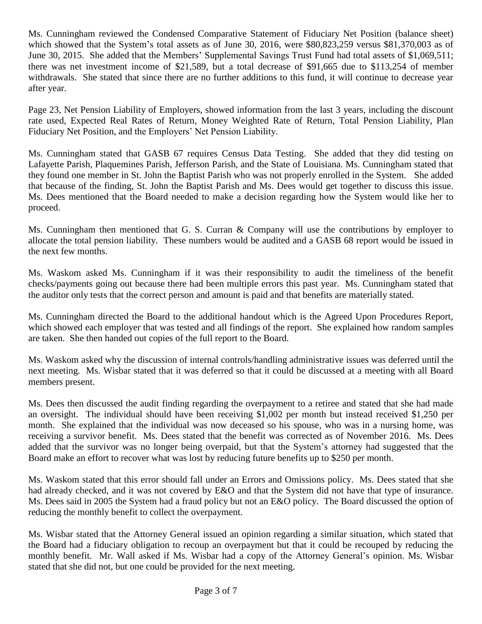Ms. Cunningham reviewed the Condensed Comparative Statement of Fiduciary Net Position (balance sheet) which showed that the System's total assets as of June 30, 2016, were \$80,823,259 versus \$81,370,003 as of June 30, 2015. She added that the Members' Supplemental Savings Trust Fund had total assets of \$1,069,511; there was net investment income of \$21,589, but a total decrease of \$91,665 due to \$113,254 of member withdrawals. She stated that since there are no further additions to this fund, it will continue to decrease year after year.

Page 23, Net Pension Liability of Employers, showed information from the last 3 years, including the discount rate used, Expected Real Rates of Return, Money Weighted Rate of Return, Total Pension Liability, Plan Fiduciary Net Position, and the Employers' Net Pension Liability.

Ms. Cunningham stated that GASB 67 requires Census Data Testing. She added that they did testing on Lafayette Parish, Plaquemines Parish, Jefferson Parish, and the State of Louisiana. Ms. Cunningham stated that they found one member in St. John the Baptist Parish who was not properly enrolled in the System. She added that because of the finding, St. John the Baptist Parish and Ms. Dees would get together to discuss this issue. Ms. Dees mentioned that the Board needed to make a decision regarding how the System would like her to proceed.

Ms. Cunningham then mentioned that G. S. Curran & Company will use the contributions by employer to allocate the total pension liability. These numbers would be audited and a GASB 68 report would be issued in the next few months.

Ms. Waskom asked Ms. Cunningham if it was their responsibility to audit the timeliness of the benefit checks/payments going out because there had been multiple errors this past year. Ms. Cunningham stated that the auditor only tests that the correct person and amount is paid and that benefits are materially stated.

Ms. Cunningham directed the Board to the additional handout which is the Agreed Upon Procedures Report, which showed each employer that was tested and all findings of the report. She explained how random samples are taken. She then handed out copies of the full report to the Board.

Ms. Waskom asked why the discussion of internal controls/handling administrative issues was deferred until the next meeting. Ms. Wisbar stated that it was deferred so that it could be discussed at a meeting with all Board members present.

Ms. Dees then discussed the audit finding regarding the overpayment to a retiree and stated that she had made an oversight. The individual should have been receiving \$1,002 per month but instead received \$1,250 per month. She explained that the individual was now deceased so his spouse, who was in a nursing home, was receiving a survivor benefit. Ms. Dees stated that the benefit was corrected as of November 2016. Ms. Dees added that the survivor was no longer being overpaid, but that the System's attorney had suggested that the Board make an effort to recover what was lost by reducing future benefits up to \$250 per month.

Ms. Waskom stated that this error should fall under an Errors and Omissions policy. Ms. Dees stated that she had already checked, and it was not covered by  $E&O$  and that the System did not have that type of insurance. Ms. Dees said in 2005 the System had a fraud policy but not an E&O policy. The Board discussed the option of reducing the monthly benefit to collect the overpayment.

Ms. Wisbar stated that the Attorney General issued an opinion regarding a similar situation, which stated that the Board had a fiduciary obligation to recoup an overpayment but that it could be recouped by reducing the monthly benefit. Mr. Wall asked if Ms. Wisbar had a copy of the Attorney General's opinion. Ms. Wisbar stated that she did not, but one could be provided for the next meeting.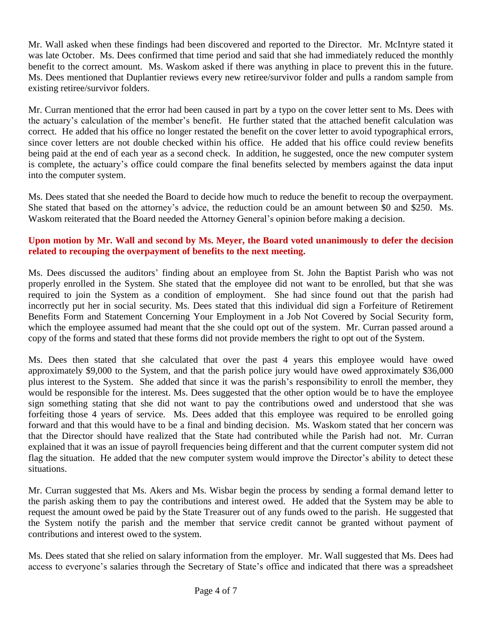Mr. Wall asked when these findings had been discovered and reported to the Director. Mr. McIntyre stated it was late October. Ms. Dees confirmed that time period and said that she had immediately reduced the monthly benefit to the correct amount. Ms. Waskom asked if there was anything in place to prevent this in the future. Ms. Dees mentioned that Duplantier reviews every new retiree/survivor folder and pulls a random sample from existing retiree/survivor folders.

Mr. Curran mentioned that the error had been caused in part by a typo on the cover letter sent to Ms. Dees with the actuary's calculation of the member's benefit. He further stated that the attached benefit calculation was correct. He added that his office no longer restated the benefit on the cover letter to avoid typographical errors, since cover letters are not double checked within his office. He added that his office could review benefits being paid at the end of each year as a second check. In addition, he suggested, once the new computer system is complete, the actuary's office could compare the final benefits selected by members against the data input into the computer system.

Ms. Dees stated that she needed the Board to decide how much to reduce the benefit to recoup the overpayment. She stated that based on the attorney's advice, the reduction could be an amount between \$0 and \$250. Ms. Waskom reiterated that the Board needed the Attorney General's opinion before making a decision.

# **Upon motion by Mr. Wall and second by Ms. Meyer, the Board voted unanimously to defer the decision related to recouping the overpayment of benefits to the next meeting.**

Ms. Dees discussed the auditors' finding about an employee from St. John the Baptist Parish who was not properly enrolled in the System. She stated that the employee did not want to be enrolled, but that she was required to join the System as a condition of employment. She had since found out that the parish had incorrectly put her in social security. Ms. Dees stated that this individual did sign a Forfeiture of Retirement Benefits Form and Statement Concerning Your Employment in a Job Not Covered by Social Security form, which the employee assumed had meant that the she could opt out of the system. Mr. Curran passed around a copy of the forms and stated that these forms did not provide members the right to opt out of the System.

Ms. Dees then stated that she calculated that over the past 4 years this employee would have owed approximately \$9,000 to the System, and that the parish police jury would have owed approximately \$36,000 plus interest to the System. She added that since it was the parish's responsibility to enroll the member, they would be responsible for the interest. Ms. Dees suggested that the other option would be to have the employee sign something stating that she did not want to pay the contributions owed and understood that she was forfeiting those 4 years of service. Ms. Dees added that this employee was required to be enrolled going forward and that this would have to be a final and binding decision. Ms. Waskom stated that her concern was that the Director should have realized that the State had contributed while the Parish had not. Mr. Curran explained that it was an issue of payroll frequencies being different and that the current computer system did not flag the situation. He added that the new computer system would improve the Director's ability to detect these situations.

Mr. Curran suggested that Ms. Akers and Ms. Wisbar begin the process by sending a formal demand letter to the parish asking them to pay the contributions and interest owed. He added that the System may be able to request the amount owed be paid by the State Treasurer out of any funds owed to the parish. He suggested that the System notify the parish and the member that service credit cannot be granted without payment of contributions and interest owed to the system.

Ms. Dees stated that she relied on salary information from the employer. Mr. Wall suggested that Ms. Dees had access to everyone's salaries through the Secretary of State's office and indicated that there was a spreadsheet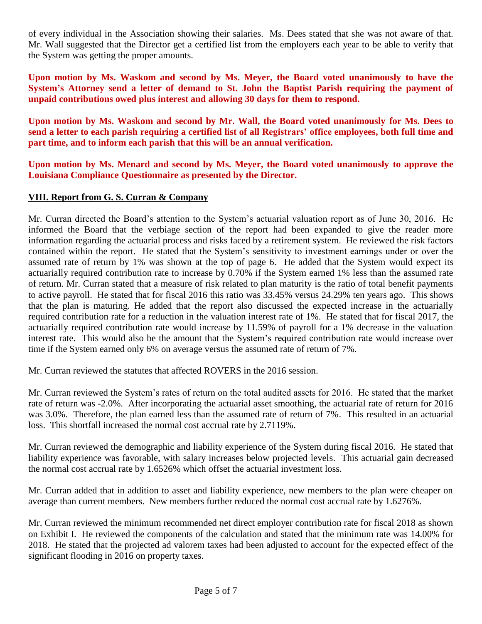of every individual in the Association showing their salaries. Ms. Dees stated that she was not aware of that. Mr. Wall suggested that the Director get a certified list from the employers each year to be able to verify that the System was getting the proper amounts.

**Upon motion by Ms. Waskom and second by Ms. Meyer, the Board voted unanimously to have the System's Attorney send a letter of demand to St. John the Baptist Parish requiring the payment of unpaid contributions owed plus interest and allowing 30 days for them to respond.** 

**Upon motion by Ms. Waskom and second by Mr. Wall, the Board voted unanimously for Ms. Dees to send a letter to each parish requiring a certified list of all Registrars' office employees, both full time and part time, and to inform each parish that this will be an annual verification.**

**Upon motion by Ms. Menard and second by Ms. Meyer, the Board voted unanimously to approve the Louisiana Compliance Questionnaire as presented by the Director.**

# **VIII. Report from G. S. Curran & Company**

Mr. Curran directed the Board's attention to the System's actuarial valuation report as of June 30, 2016. He informed the Board that the verbiage section of the report had been expanded to give the reader more information regarding the actuarial process and risks faced by a retirement system. He reviewed the risk factors contained within the report. He stated that the System's sensitivity to investment earnings under or over the assumed rate of return by 1% was shown at the top of page 6. He added that the System would expect its actuarially required contribution rate to increase by 0.70% if the System earned 1% less than the assumed rate of return. Mr. Curran stated that a measure of risk related to plan maturity is the ratio of total benefit payments to active payroll. He stated that for fiscal 2016 this ratio was 33.45% versus 24.29% ten years ago. This shows that the plan is maturing. He added that the report also discussed the expected increase in the actuarially required contribution rate for a reduction in the valuation interest rate of 1%. He stated that for fiscal 2017, the actuarially required contribution rate would increase by 11.59% of payroll for a 1% decrease in the valuation interest rate. This would also be the amount that the System's required contribution rate would increase over time if the System earned only 6% on average versus the assumed rate of return of 7%.

Mr. Curran reviewed the statutes that affected ROVERS in the 2016 session.

Mr. Curran reviewed the System's rates of return on the total audited assets for 2016. He stated that the market rate of return was -2.0%. After incorporating the actuarial asset smoothing, the actuarial rate of return for 2016 was 3.0%. Therefore, the plan earned less than the assumed rate of return of 7%. This resulted in an actuarial loss. This shortfall increased the normal cost accrual rate by 2.7119%.

Mr. Curran reviewed the demographic and liability experience of the System during fiscal 2016. He stated that liability experience was favorable, with salary increases below projected levels. This actuarial gain decreased the normal cost accrual rate by 1.6526% which offset the actuarial investment loss.

Mr. Curran added that in addition to asset and liability experience, new members to the plan were cheaper on average than current members. New members further reduced the normal cost accrual rate by 1.6276%.

Mr. Curran reviewed the minimum recommended net direct employer contribution rate for fiscal 2018 as shown on Exhibit I. He reviewed the components of the calculation and stated that the minimum rate was 14.00% for 2018. He stated that the projected ad valorem taxes had been adjusted to account for the expected effect of the significant flooding in 2016 on property taxes.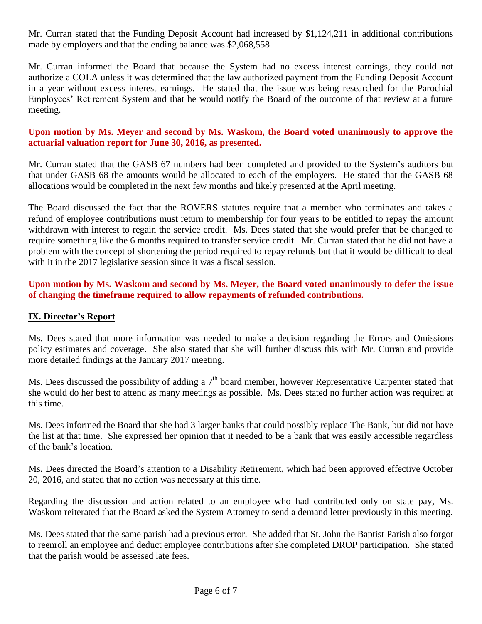Mr. Curran stated that the Funding Deposit Account had increased by \$1,124,211 in additional contributions made by employers and that the ending balance was \$2,068,558.

Mr. Curran informed the Board that because the System had no excess interest earnings, they could not authorize a COLA unless it was determined that the law authorized payment from the Funding Deposit Account in a year without excess interest earnings. He stated that the issue was being researched for the Parochial Employees' Retirement System and that he would notify the Board of the outcome of that review at a future meeting.

### **Upon motion by Ms. Meyer and second by Ms. Waskom, the Board voted unanimously to approve the actuarial valuation report for June 30, 2016, as presented.**

Mr. Curran stated that the GASB 67 numbers had been completed and provided to the System's auditors but that under GASB 68 the amounts would be allocated to each of the employers. He stated that the GASB 68 allocations would be completed in the next few months and likely presented at the April meeting.

The Board discussed the fact that the ROVERS statutes require that a member who terminates and takes a refund of employee contributions must return to membership for four years to be entitled to repay the amount withdrawn with interest to regain the service credit. Ms. Dees stated that she would prefer that be changed to require something like the 6 months required to transfer service credit. Mr. Curran stated that he did not have a problem with the concept of shortening the period required to repay refunds but that it would be difficult to deal with it in the 2017 legislative session since it was a fiscal session.

### **Upon motion by Ms. Waskom and second by Ms. Meyer, the Board voted unanimously to defer the issue of changing the timeframe required to allow repayments of refunded contributions.**

## **IX. Director's Report**

Ms. Dees stated that more information was needed to make a decision regarding the Errors and Omissions policy estimates and coverage. She also stated that she will further discuss this with Mr. Curran and provide more detailed findings at the January 2017 meeting.

Ms. Dees discussed the possibility of adding a  $7<sup>th</sup>$  board member, however Representative Carpenter stated that she would do her best to attend as many meetings as possible. Ms. Dees stated no further action was required at this time.

Ms. Dees informed the Board that she had 3 larger banks that could possibly replace The Bank, but did not have the list at that time. She expressed her opinion that it needed to be a bank that was easily accessible regardless of the bank's location.

Ms. Dees directed the Board's attention to a Disability Retirement, which had been approved effective October 20, 2016, and stated that no action was necessary at this time.

Regarding the discussion and action related to an employee who had contributed only on state pay, Ms. Waskom reiterated that the Board asked the System Attorney to send a demand letter previously in this meeting.

Ms. Dees stated that the same parish had a previous error. She added that St. John the Baptist Parish also forgot to reenroll an employee and deduct employee contributions after she completed DROP participation. She stated that the parish would be assessed late fees.